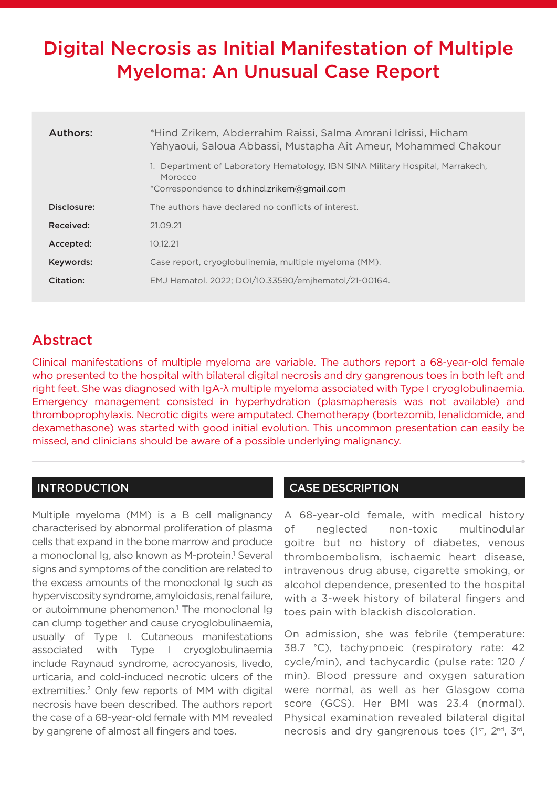# Digital Necrosis as Initial Manifestation of Multiple Myeloma: An Unusual Case Report

| Authors:    | *Hind Zrikem, Abderrahim Raissi, Salma Amrani Idrissi, Hicham<br>Yahyaoui, Saloua Abbassi, Mustapha Ait Ameur, Mohammed Chakour<br>1. Department of Laboratory Hematology, IBN SINA Military Hospital, Marrakech,<br>Morocco<br>*Correspondence to dr.hind.zrikem@gmail.com |
|-------------|-----------------------------------------------------------------------------------------------------------------------------------------------------------------------------------------------------------------------------------------------------------------------------|
| Disclosure: | The authors have declared no conflicts of interest.                                                                                                                                                                                                                         |
|             |                                                                                                                                                                                                                                                                             |
| Received:   | 21.09.21                                                                                                                                                                                                                                                                    |
| Accepted:   | 10.12.21                                                                                                                                                                                                                                                                    |
| Keywords:   | Case report, cryoglobulinemia, multiple myeloma (MM).                                                                                                                                                                                                                       |
| Citation:   | EMJ Hematol. 2022; DOI/10.33590/emjhematol/21-00164.                                                                                                                                                                                                                        |

# Abstract

Clinical manifestations of multiple myeloma are variable. The authors report a 68-year-old female who presented to the hospital with bilateral digital necrosis and dry gangrenous toes in both left and right feet. She was diagnosed with IgA-λ multiple myeloma associated with Type I cryoglobulinaemia. Emergency management consisted in hyperhydration (plasmapheresis was not available) and thromboprophylaxis. Necrotic digits were amputated. Chemotherapy (bortezomib, lenalidomide, and dexamethasone) was started with good initial evolution. This uncommon presentation can easily be missed, and clinicians should be aware of a possible underlying malignancy.

# INTRODUCTION

Multiple myeloma (MM) is a B cell malignancy characterised by abnormal proliferation of plasma cells that expand in the bone marrow and produce a monoclonal Ig, also known as M-protein.<sup>1</sup> Several signs and symptoms of the condition are related to the excess amounts of the monoclonal Ig such as hyperviscosity syndrome, amyloidosis, renal failure, or autoimmune phenomenon.<sup>1</sup> The monoclonal Ig can clump together and cause cryoglobulinaemia, usually of Type I. Cutaneous manifestations associated with Type I cryoglobulinaemia include Raynaud syndrome, acrocyanosis, livedo, urticaria, and cold-induced necrotic ulcers of the extremities.<sup>2</sup> Only few reports of MM with digital necrosis have been described. The authors report the case of a 68-year-old female with MM revealed by gangrene of almost all fingers and toes.

# CASE DESCRIPTION

A 68-year-old female, with medical history of neglected non-toxic multinodular goitre but no history of diabetes, venous thromboembolism, ischaemic heart disease, intravenous drug abuse, cigarette smoking, or alcohol dependence, presented to the hospital with a 3-week history of bilateral fingers and toes pain with blackish discoloration.

On admission, she was febrile (temperature: 38.7 °C), tachypnoeic (respiratory rate: 42 cycle/min), and tachycardic (pulse rate: 120 / min). Blood pressure and oxygen saturation were normal, as well as her Glasgow coma score (GCS). Her BMI was 23.4 (normal). Physical examination revealed bilateral digital necrosis and dry gangrenous toes (1<sup>st</sup>, 2<sup>nd</sup>, 3<sup>rd</sup>,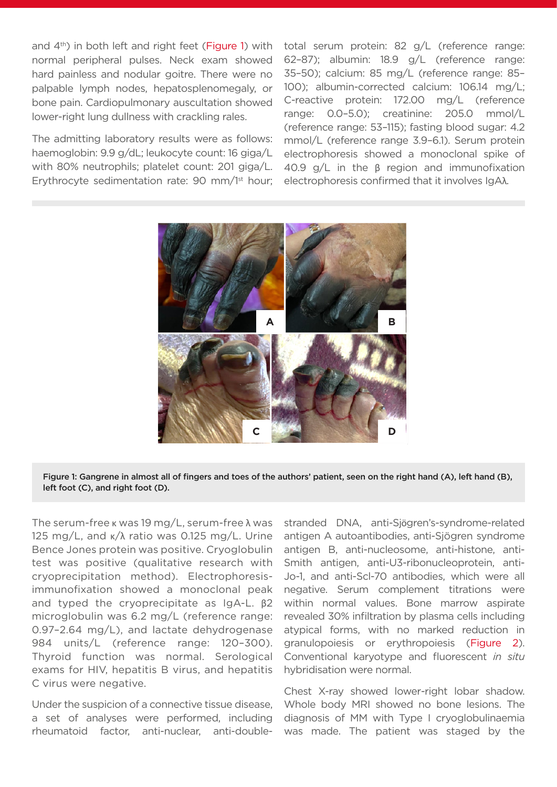and  $4<sup>th</sup>$ ) in both left and right feet (Figure 1) with normal peripheral pulses. Neck exam showed hard painless and nodular goitre. There were no palpable lymph nodes, hepatosplenomegaly, or bone pain. Cardiopulmonary auscultation showed lower-right lung dullness with crackling rales.

The admitting laboratory results were as follows: haemoglobin: 9.9 g/dL; leukocyte count: 16 giga/L with 80% neutrophils; platelet count: 201 giga/L. Erythrocyte sedimentation rate: 90 mm/1<sup>st</sup> hour: total serum protein: 82 g/L (reference range: 62–87); albumin: 18.9 g/L (reference range: 35–50); calcium: 85 mg/L (reference range: 85– 100); albumin-corrected calcium: 106.14 mg/L; C-reactive protein: 172.00 mg/L (reference range: 0.0–5.0); creatinine: 205.0 mmol/L (reference range: 53–115); fasting blood sugar: 4.2 mmol/L (reference range 3.9–6.1). Serum protein electrophoresis showed a monoclonal spike of 40.9 g/L in the β region and immunofixation electrophoresis confirmed that it involves IgAλ.



#### Figure 1: Gangrene in almost all of fingers and toes of the authors' patient, seen on the right hand (A), left hand (B), left foot (C), and right foot (D).

The serum-free  $\kappa$  was 19 mg/L, serum-free  $\lambda$  was 125 mg/L, and κ/λ ratio was 0.125 mg/L. Urine Bence Jones protein was positive. Cryoglobulin test was positive (qualitative research with cryoprecipitation method). Electrophoresisimmunofixation showed a monoclonal peak and typed the cryoprecipitate as IgA-L. β2 microglobulin was 6.2 mg/L (reference range: 0.97–2.64 mg/L), and lactate dehydrogenase 984 units/L (reference range: 120–300). Thyroid function was normal. Serological exams for HIV, hepatitis B virus, and hepatitis C virus were negative.

Under the suspicion of a connective tissue disease, a set of analyses were performed, including rheumatoid factor, anti-nuclear, anti-doublestranded DNA, anti-Sjögren's-syndrome-related antigen A autoantibodies, anti-Sjögren syndrome antigen B, anti-nucleosome, anti-histone, anti-Smith antigen, anti-U3-ribonucleoprotein, anti-Jo-1, and anti-Scl-70 antibodies, which were all negative. Serum complement titrations were within normal values. Bone marrow aspirate revealed 30% infiltration by plasma cells including atypical forms, with no marked reduction in granulopoiesis or erythropoiesis (Figure 2). Conventional karyotype and fluorescent *in situ* hybridisation were normal.

Chest X-ray showed lower-right lobar shadow. Whole body MRI showed no bone lesions. The diagnosis of MM with Type I cryoglobulinaemia was made. The patient was staged by the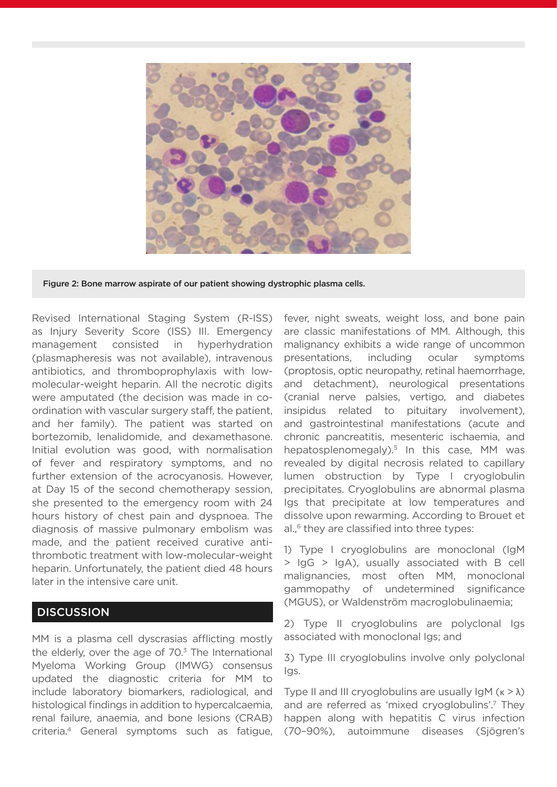

Figure 2: Bone marrow aspirate of our patient showing dystrophic plasma cells.

Revised International Staging System (R-ISS) as Injury Severity Score (ISS) III. Emergency management consisted in hyperhydration (plasmapheresis was not available), intravenous antibiotics, and thromboprophylaxis with lowmolecular-weight heparin. All the necrotic digits were amputated (the decision was made in coordination with vascular surgery staff, the patient, and her family). The patient was started on bortezomib, lenalidomide, and dexamethasone. Initial evolution was good, with normalisation of fever and respiratory symptoms, and no further extension of the acrocyanosis. However, at Day 15 of the second chemotherapy session, she presented to the emergency room with 24 hours history of chest pain and dyspnoea. The diagnosis of massive pulmonary embolism was made, and the patient received curative antithrombotic treatment with low-molecular-weight heparin. Unfortunately, the patient died 48 hours later in the intensive care unit.

## **DISCUSSION**

MM is a plasma cell dyscrasias afflicting mostly the elderly, over the age of  $70<sup>3</sup>$  The International Myeloma Working Group (IMWG) consensus updated the diagnostic criteria for MM to include laboratory biomarkers, radiological, and histological findings in addition to hypercalcaemia, renal failure, anaemia, and bone lesions (CRAB) criteria.4 General symptoms such as fatigue, fever, night sweats, weight loss, and bone pain are classic manifestations of MM. Although, this malignancy exhibits a wide range of uncommon presentations, including ocular symptoms (proptosis, optic neuropathy, retinal haemorrhage, and detachment), neurological presentations (cranial nerve palsies, vertigo, and diabetes insipidus related to pituitary involvement), and gastrointestinal manifestations (acute and chronic pancreatitis, mesenteric ischaemia, and hepatosplenomegaly).<sup>5</sup> In this case, MM was revealed by digital necrosis related to capillary lumen obstruction by Type I cryoglobulin precipitates. Cryoglobulins are abnormal plasma Igs that precipitate at low temperatures and dissolve upon rewarming. According to Brouet et al.<sup>6</sup> they are classified into three types:

1) Type I cryoglobulins are monoclonal (IgM > IgG > IgA), usually associated with B cell malignancies, most often MM, monoclonal gammopathy of undetermined significance (MGUS), or Waldenström macroglobulinaemia;

2) Type II cryoglobulins are polyclonal Igs associated with monoclonal Igs; and

3) Type III cryoglobulins involve only polyclonal Igs.

Type II and III cryoglobulins are usually  $\text{Im } (k > \lambda)$ and are referred as 'mixed cryoglobulins'.7 They happen along with hepatitis C virus infection (70–90%), autoimmune diseases (Sjögren's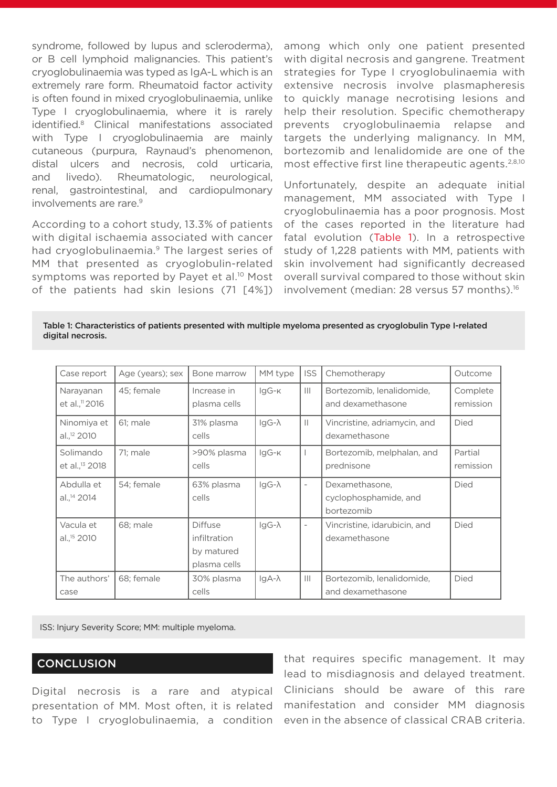syndrome, followed by lupus and scleroderma), or B cell lymphoid malignancies. This patient's cryoglobulinaemia was typed as IgA-L which is an extremely rare form. Rheumatoid factor activity is often found in mixed cryoglobulinaemia, unlike Type I cryoglobulinaemia, where it is rarely identified.8 Clinical manifestations associated with Type I cryoglobulinaemia are mainly cutaneous (purpura, Raynaud's phenomenon, distal ulcers and necrosis, cold urticaria, and livedo). Rheumatologic, neurological, renal, gastrointestinal, and cardiopulmonary involvements are rare.9

According to a cohort study, 13.3% of patients with digital ischaemia associated with cancer had cryoglobulinaemia.<sup>9</sup> The largest series of MM that presented as cryoglobulin-related symptoms was reported by Payet et al.<sup>10</sup> Most of the patients had skin lesions (71 [4%]) among which only one patient presented with digital necrosis and gangrene. Treatment strategies for Type I cryoglobulinaemia with extensive necrosis involve plasmapheresis to quickly manage necrotising lesions and help their resolution. Specific chemotherapy prevents cryoglobulinaemia relapse and targets the underlying malignancy. In MM, bortezomib and lenalidomide are one of the most effective first line therapeutic agents.2,8,10

Unfortunately, despite an adequate initial management, MM associated with Type I cryoglobulinaemia has a poor prognosis. Most of the cases reported in the literature had fatal evolution (Table 1). In a retrospective study of 1,228 patients with MM, patients with skin involvement had significantly decreased overall survival compared to those without skin involvement (median: 28 versus 57 months).<sup>16</sup>

Table 1: Characteristics of patients presented with multiple myeloma presented as cryoglobulin Type I-related digital necrosis.

| Case report                             | Age (years); sex | Bone marrow                                                  | MM type       | <b>ISS</b>               | Chemotherapy                                          | Outcome               |
|-----------------------------------------|------------------|--------------------------------------------------------------|---------------|--------------------------|-------------------------------------------------------|-----------------------|
| Narayanan<br>et al., <sup>11</sup> 2016 | 45; female       | Increase in<br>plasma cells                                  | IgG-K         | $\mathbb{H}$             | Bortezomib, lenalidomide,<br>and dexamethasone        | Complete<br>remission |
| Ninomiya et<br>al., <sup>12</sup> 2010  | 61; male         | 31% plasma<br>cells                                          | $IqG-\lambda$ | $\mathbb{H}$             | Vincristine, adriamycin, and<br>dexamethasone         | Died                  |
| Solimando<br>et al., <sup>13</sup> 2018 | 71; male         | >90% plasma<br>cells                                         | IgG-k         |                          | Bortezomib, melphalan, and<br>prednisone              | Partial<br>remission  |
| Abdulla et<br>al., <sup>14</sup> 2014   | 54; female       | 63% plasma<br>cells                                          | $lgG-\lambda$ | $\overline{\phantom{a}}$ | Dexamethasone,<br>cyclophosphamide, and<br>bortezomib | Died                  |
| Vacula et<br>al., <sup>15</sup> 2010    | 68; male         | <b>Diffuse</b><br>infiltration<br>by matured<br>plasma cells | $IqG-\lambda$ |                          | Vincristine, idarubicin, and<br>dexamethasone         | Died                  |
| The authors'<br>case                    | 68; female       | 30% plasma<br>cells                                          | $lgA-\lambda$ | $\mathbf{III}$           | Bortezomib, lenalidomide,<br>and dexamethasone        | Died                  |

ISS: Injury Severity Score; MM: multiple myeloma.

## **CONCLUSION**

Digital necrosis is a rare and atypical presentation of MM. Most often, it is related to Type I cryoglobulinaemia, a condition

that requires specific management. It may lead to misdiagnosis and delayed treatment. Clinicians should be aware of this rare manifestation and consider MM diagnosis even in the absence of classical CRAB criteria.